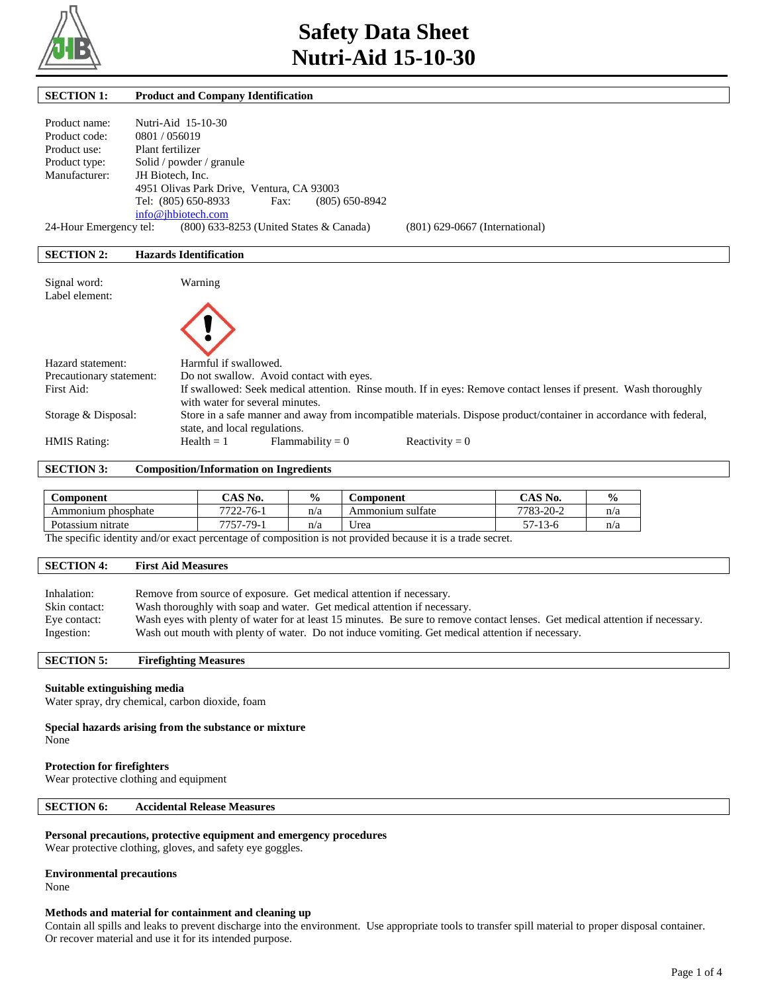

| <b>SECTION 1:</b>      | <b>Product and Company Identification</b>         |                                |
|------------------------|---------------------------------------------------|--------------------------------|
|                        |                                                   |                                |
| Product name:          | Nutri-Aid 15-10-30                                |                                |
| Product code:          | 0801 / 056019                                     |                                |
| Product use:           | Plant fertilizer                                  |                                |
| Product type:          | Solid / powder / granule                          |                                |
| Manufacturer:          | JH Biotech. Inc.                                  |                                |
|                        | 4951 Olivas Park Drive, Ventura, CA 93003         |                                |
|                        | Tel: (805) 650-8933<br>$(805) 650 - 8942$<br>Fax: |                                |
|                        | info@jhbiotech.com                                |                                |
| 24-Hour Emergency tel: | (800) 633-8253 (United States & Canada)           | (801) 629-0667 (International) |
|                        |                                                   |                                |
| <b>SECTION 2:</b>      | <b>Hazards Identification</b>                     |                                |
|                        |                                                   |                                |
| Signal word:           | Warning                                           |                                |

| $5 - 10 - 10 - 10 - 10$<br>Label element: |                                                                                                                                                     |
|-------------------------------------------|-----------------------------------------------------------------------------------------------------------------------------------------------------|
| Hazard statement:                         | Harmful if swallowed.                                                                                                                               |
| Precautionary statement:                  | Do not swallow. Avoid contact with eyes.                                                                                                            |
| First Aid:                                | If swallowed: Seek medical attention. Rinse mouth. If in eyes: Remove contact lenses if present. Wash thoroughly<br>with water for several minutes. |
| Storage & Disposal:                       | Store in a safe manner and away from incompatible materials. Dispose product/container in accordance with federal,<br>state, and local regulations. |
| <b>HMIS Rating:</b>                       | Reactivity = $0$<br>$Flammability = 0$<br>$Health = 1$                                                                                              |

**SECTION 3: Composition/Information on Ingredients**

| <b>Component</b>      | $CAS$ No.       | $\frac{0}{0}$        | <b>Component</b> | $^{\circ}$ AS No.             | $\frac{0}{0}$ |
|-----------------------|-----------------|----------------------|------------------|-------------------------------|---------------|
| phosphate<br>Ammonium | $7722 - 76 - 1$ | n/a                  | Ammonium sulfate | 7783-20-2                     | n/a           |
| Potassium nitrate     | 7757<br>79-     | n/a                  | Jrea             | --<br>$-13-6$<br>$\prime$ $-$ | n/a           |
| $-$<br>.              | $\sim$          | $\ddot{\phantom{1}}$ | .                |                               |               |

The specific identity and/or exact percentage of composition is not provided because it is a trade secret.

#### **SECTION 4: First Aid Measures**

| Inhalation:   | Remove from source of exposure. Get medical attention if necessary.                                                           |
|---------------|-------------------------------------------------------------------------------------------------------------------------------|
| Skin contact: | Wash thoroughly with soap and water. Get medical attention if necessary.                                                      |
| Eye contact:  | Wash eves with plenty of water for at least 15 minutes. Be sure to remove contact lenses. Get medical attention if necessary. |
| Ingestion:    | Wash out mouth with plenty of water. Do not induce vomiting. Get medical attention if necessary.                              |

**SECTION 5: Firefighting Measures** 

#### **Suitable extinguishing media**

Water spray, dry chemical, carbon dioxide, foam

#### **Special hazards arising from the substance or mixture** None

#### **Protection for firefighters**

Wear protective clothing and equipment

# **SECTION 6: Accidental Release Measures**

#### **Personal precautions, protective equipment and emergency procedures**

Wear protective clothing, gloves, and safety eye goggles.

#### **Environmental precautions**

None

#### **Methods and material for containment and cleaning up**

Contain all spills and leaks to prevent discharge into the environment. Use appropriate tools to transfer spill material to proper disposal container. Or recover material and use it for its intended purpose.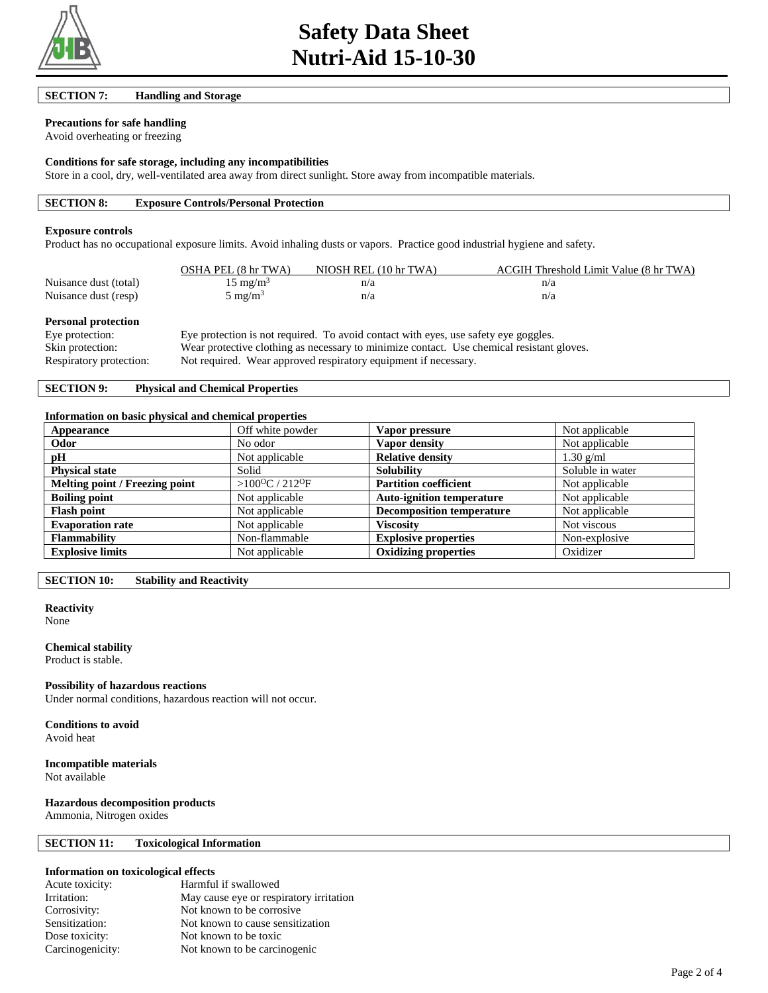

**SECTION 7: Handling and Storage** 

# **Precautions for safe handling**

Avoid overheating or freezing

#### **Conditions for safe storage, including any incompatibilities**

Store in a cool, dry, well-ventilated area away from direct sunlight. Store away from incompatible materials.

|--|

#### **Exposure controls**

Product has no occupational exposure limits. Avoid inhaling dusts or vapors. Practice good industrial hygiene and safety.

|                       | OSHA PEL (8 hr TWA) | NIOSH REL (10 hr TWA) | ACGIH Threshold Limit Value (8 hr TWA) |
|-----------------------|---------------------|-----------------------|----------------------------------------|
| Nuisance dust (total) | $15 \text{ mg/m}^3$ |                       |                                        |
| Nuisance dust (resp)  | $5 \text{ mg/m}^3$  | n/a                   |                                        |

#### **Personal protection**

| Eye protection:         | Eye protection is not required. To avoid contact with eyes, use safety eye goggles.       |
|-------------------------|-------------------------------------------------------------------------------------------|
| Skin protection:        | Wear protective clothing as necessary to minimize contact. Use chemical resistant gloves. |
| Respiratory protection: | Not required. Wear approved respiratory equipment if necessary.                           |

# **SECTION 9: Physical and Chemical Properties**

#### **Information on basic physical and chemical properties**

| Appearance                     | Off white powder                       | Vapor pressure                   | Not applicable   |
|--------------------------------|----------------------------------------|----------------------------------|------------------|
| Odor                           | No odor                                | Vapor density                    | Not applicable   |
| pH                             | Not applicable                         | <b>Relative density</b>          | $1.30$ g/ml      |
| <b>Physical state</b>          | Solid                                  | <b>Solubility</b>                | Soluble in water |
| Melting point / Freezing point | > $100^{\circ}$ C / 212 <sup>o</sup> F | <b>Partition coefficient</b>     | Not applicable   |
| <b>Boiling point</b>           | Not applicable                         | <b>Auto-ignition temperature</b> | Not applicable   |
| <b>Flash point</b>             | Not applicable                         | <b>Decomposition temperature</b> | Not applicable   |
| <b>Evaporation rate</b>        | Not applicable                         | <b>Viscosity</b>                 | Not viscous      |
| <b>Flammability</b>            | Non-flammable                          | <b>Explosive properties</b>      | Non-explosive    |
| <b>Explosive limits</b>        | Not applicable                         | <b>Oxidizing properties</b>      | Oxidizer         |

**SECTION 10: Stability and Reactivity** 

# **Reactivity**

None

#### **Chemical stability**

Product is stable.

#### **Possibility of hazardous reactions**

Under normal conditions, hazardous reaction will not occur.

**Conditions to avoid** Avoid heat

# **Incompatible materials**

Not available

### **Hazardous decomposition products**

Ammonia, Nitrogen oxides

# **SECTION 11: Toxicological Information**

# **Information on toxicological effects**

| Acute toxicity:  | Harmful if swallowed                    |
|------------------|-----------------------------------------|
| Irritation:      | May cause eye or respiratory irritation |
| Corrosivity:     | Not known to be corrosive.              |
| Sensitization:   | Not known to cause sensitization        |
| Dose toxicity:   | Not known to be toxic                   |
| Carcinogenicity: | Not known to be carcinogenic            |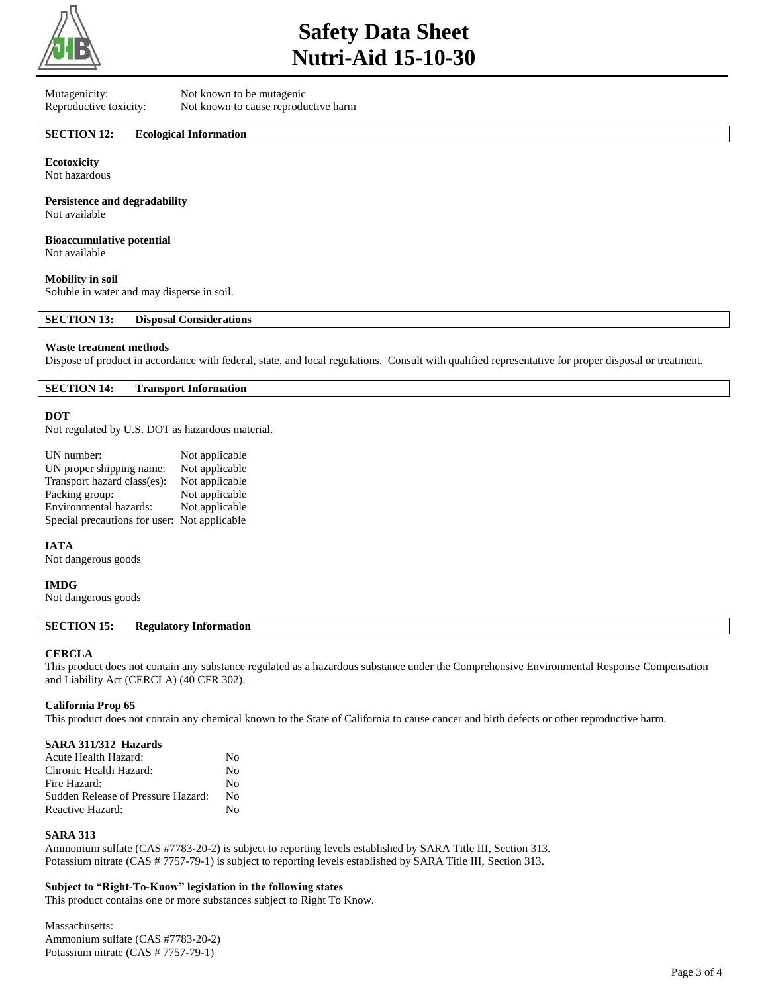

# **Safety Data Sheet Nutri-Aid 15-10-30**

Mutagenicity: Not known to be mutagenic

Reproductive toxicity: Not known to cause reproductive harm

#### **SECTION 12: Ecological Information**

**Ecotoxicity** Not hazardous

**Persistence and degradability** Not available

**Bioaccumulative potential**

Not available

#### **Mobility in soil**

Soluble in water and may disperse in soil.

**SECTION 13: Disposal Considerations** 

#### **Waste treatment methods**

Dispose of product in accordance with federal, state, and local regulations. Consult with qualified representative for proper disposal or treatment.

**SECTION 14: Transport Information** 

#### **DOT**

Not regulated by U.S. DOT as hazardous material.

| UN number:                                   | Not applicable |
|----------------------------------------------|----------------|
| UN proper shipping name:                     | Not applicable |
| Transport hazard class(es):                  | Not applicable |
| Packing group:                               | Not applicable |
| Environmental hazards:                       | Not applicable |
| Special precautions for user: Not applicable |                |

**IATA**

Not dangerous goods

#### **IMDG**

Not dangerous goods

### **SECTION 15: Regulatory Information**

#### **CERCLA**

This product does not contain any substance regulated as a hazardous substance under the Comprehensive Environmental Response Compensation and Liability Act (CERCLA) (40 CFR 302).

#### **California Prop 65**

This product does not contain any chemical known to the State of California to cause cancer and birth defects or other reproductive harm.

#### **SARA 311/312 Hazards**

| Acute Health Hazard:               | No |
|------------------------------------|----|
| Chronic Health Hazard:             | No |
| Fire Hazard:                       | No |
| Sudden Release of Pressure Hazard: | No |
| Reactive Hazard:                   | No |

# **SARA 313**

Ammonium sulfate (CAS #7783-20-2) is subject to reporting levels established by SARA Title III, Section 313. Potassium nitrate (CAS # 7757-79-1) is subject to reporting levels established by SARA Title III, Section 313.

#### **Subject to "Right-To-Know" legislation in the following states**

This product contains one or more substances subject to Right To Know.

Massachusetts: Ammonium sulfate (CAS #7783-20-2) Potassium nitrate (CAS # 7757-79-1)